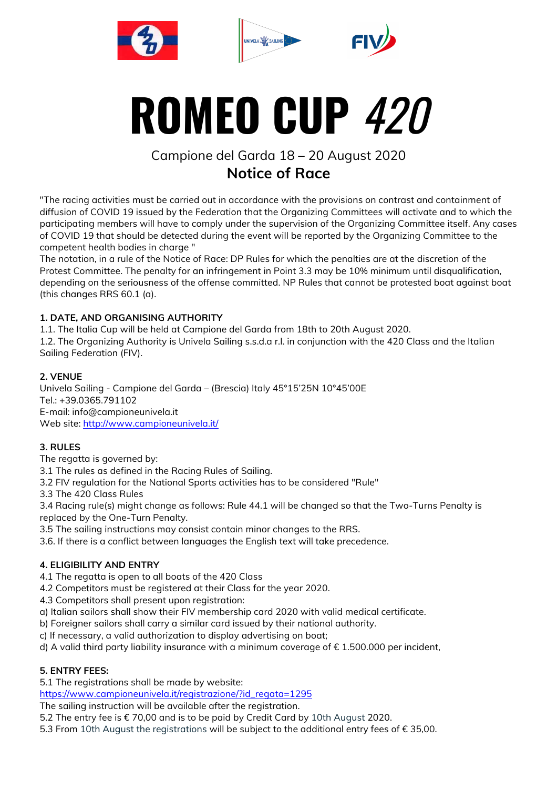





# **ROMEO CUP** 420

# Campione del Garda 18 – 20 August 2020 **Notice of Race**

"The racing activities must be carried out in accordance with the provisions on contrast and containment of diffusion of COVID 19 issued by the Federation that the Organizing Committees will activate and to which the participating members will have to comply under the supervision of the Organizing Committee itself. Any cases of COVID 19 that should be detected during the event will be reported by the Organizing Committee to the competent health bodies in charge "

The notation, in a rule of the Notice of Race: DP Rules for which the penalties are at the discretion of the Protest Committee. The penalty for an infringement in Point 3.3 may be 10% minimum until disqualification, depending on the seriousness of the offense committed. NP Rules that cannot be protested boat against boat (this changes RRS 60.1 (a).

# **1. DATE, AND ORGANISING AUTHORITY**

1.1. The Italia Cup will be held at Campione del Garda from 18th to 20th August 2020.

1.2. The Organizing Authority is Univela Sailing s.s.d.a r.l. in conjunction with the 420 Class and the Italian Sailing Federation (FIV).

# **2. VENUE**

Univela Sailing - Campione del Garda – (Brescia) Italy 45°15'25N 10°45'00E Tel.: +39.0365.791102 E-mail: info@campioneunivela.it Web site: http://www.campioneunivela.it/

# **3. RULES**

The regatta is governed by:

3.1 The rules as defined in the Racing Rules of Sailing.

3.2 FIV regulation for the National Sports activities has to be considered "Rule"

3.3 The 420 Class Rules

3.4 Racing rule(s) might change as follows: Rule 44.1 will be changed so that the Two-Turns Penalty is replaced by the One-Turn Penalty.

3.5 The sailing instructions may consist contain minor changes to the RRS.

3.6. If there is a conflict between languages the English text will take precedence.

# **4. ELIGIBILITY AND ENTRY**

4.1 The regatta is open to all boats of the 420 Class

4.2 Competitors must be registered at their Class for the year 2020.

4.3 Competitors shall present upon registration:

a) Italian sailors shall show their FIV membership card 2020 with valid medical certificate.

b) Foreigner sailors shall carry a similar card issued by their national authority.

c) If necessary, a valid authorization to display advertising on boat;

d) A valid third party liability insurance with a minimum coverage of  $\epsilon$  1.500.000 per incident,

# **5. ENTRY FEES:**

5.1 The registrations shall be made by website:

https://www.campioneunivela.it/registrazione/?id\_regata=1295

The sailing instruction will be available after the registration.

5.2 The entry fee is € 70,00 and is to be paid by Credit Card by 10th August 2020.

5.3 From 10th August the registrations will be subject to the additional entry fees of € 35,00.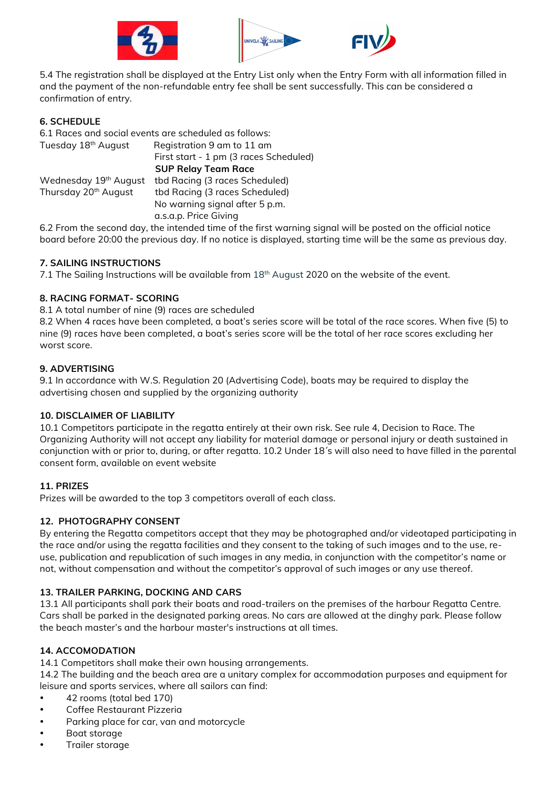





5.4 The registration shall be displayed at the Entry List only when the Entry Form with all information filled in and the payment of the non-refundable entry fee shall be sent successfully. This can be considered a confirmation of entry.

# **6. SCHEDULE**

6.1 Races and social events are scheduled as follows: Tuesday 18<sup>th</sup> August Registration 9 am to 11 am First start - 1 pm (3 races Scheduled)  **SUP Relay Team Race** Wednesday 19<sup>th</sup> August tbd Racing (3 races Scheduled) Thursday 20<sup>th</sup> August tbd Racing (3 races Scheduled) No warning signal after 5 p.m. a.s.a.p. Price Giving

6.2 From the second day, the intended time of the first warning signal will be posted on the official notice board before 20:00 the previous day. If no notice is displayed, starting time will be the same as previous day.

#### **7. SAILING INSTRUCTIONS**

7.1 The Sailing Instructions will be available from 18<sup>th</sup> August 2020 on the website of the event.

#### **8. RACING FORMAT- SCORING**

8.1 A total number of nine (9) races are scheduled

8.2 When 4 races have been completed, a boat's series score will be total of the race scores. When five (5) to nine (9) races have been completed, a boat's series score will be the total of her race scores excluding her worst score.

#### **9. ADVERTISING**

9.1 In accordance with W.S. Regulation 20 (Advertising Code), boats may be required to display the advertising chosen and supplied by the organizing authority

#### **10. DISCLAIMER OF LIABILITY**

10.1 Competitors participate in the regatta entirely at their own risk. See rule 4, Decision to Race. The Organizing Authority will not accept any liability for material damage or personal injury or death sustained in conjunction with or prior to, during, or after regatta. 10.2 Under 18´s will also need to have filled in the parental consent form, available on event website

# **11. PRIZES**

Prizes will be awarded to the top 3 competitors overall of each class.

#### **12. PHOTOGRAPHY CONSENT**

By entering the Regatta competitors accept that they may be photographed and/or videotaped participating in the race and/or using the regatta facilities and they consent to the taking of such images and to the use, reuse, publication and republication of such images in any media, in conjunction with the competitor's name or not, without compensation and without the competitor's approval of such images or any use thereof.

#### **13. TRAILER PARKING, DOCKING AND CARS**

13.1 All participants shall park their boats and road-trailers on the premises of the harbour Regatta Centre. Cars shall be parked in the designated parking areas. No cars are allowed at the dinghy park. Please follow the beach master's and the harbour master's instructions at all times.

# **14. ACCOMODATION**

14.1 Competitors shall make their own housing arrangements.

14.2 The building and the beach area are a unitary complex for accommodation purposes and equipment for leisure and sports services, where all sailors can find:

- 42 rooms (total bed 170)
- Coffee Restaurant Pizzeria
- Parking place for car, van and motorcycle
- Boat storage
- Trailer storage